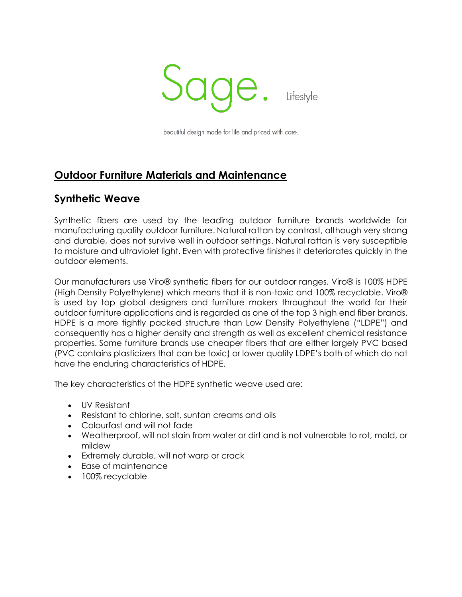

beautiful design made for life and priced with care.

## **Outdoor Furniture Materials and Maintenance**

### **Synthetic Weave**

Synthetic fibers are used by the leading outdoor furniture brands worldwide for manufacturing quality outdoor furniture. Natural rattan by contrast, although very strong and durable, does not survive well in outdoor settings. Natural rattan is very susceptible to moisture and ultraviolet light. Even with protective finishes it deteriorates quickly in the outdoor elements.

Our manufacturers use Viro® synthetic fibers for our outdoor ranges. Viro® is 100% HDPE (High Density Polyethylene) which means that it is non-toxic and 100% recyclable. Viro® is used by top global designers and furniture makers throughout the world for their outdoor furniture applications and is regarded as one of the top 3 high end fiber brands. HDPE is a more tightly packed structure than Low Density Polyethylene ("LDPE") and consequently has a higher density and strength as well as excellent chemical resistance properties. Some furniture brands use cheaper fibers that are either largely PVC based (PVC contains plasticizers that can be toxic) or lower quality LDPE's both of which do not have the enduring characteristics of HDPE.

The key characteristics of the HDPE synthetic weave used are:

- UV Resistant
- Resistant to chlorine, salt, suntan creams and oils
- Colourfast and will not fade
- Weatherproof, will not stain from water or dirt and is not vulnerable to rot, mold, or mildew
- Extremely durable, will not warp or crack
- Ease of maintenance
- 100% recyclable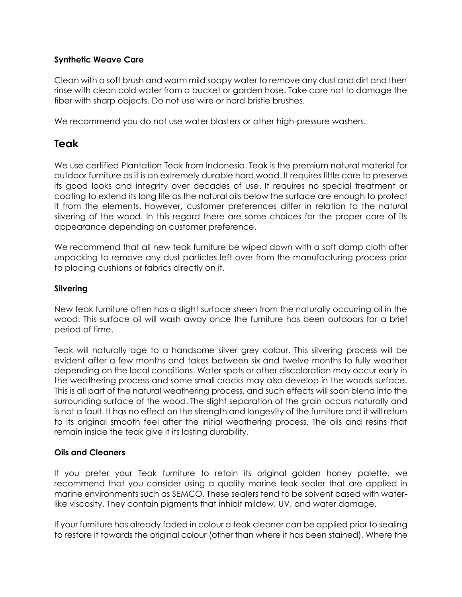#### **Synthetic Weave Care**

Clean with a soft brush and warm mild soapy water to remove any dust and dirt and then rinse with clean cold water from a bucket or garden hose. Take care not to damage the fiber with sharp objects. Do not use wire or hard bristle brushes.

We recommend you do not use water blasters or other high-pressure washers.

## **Teak**

We use certified Plantation Teak from Indonesia. Teak is the premium natural material for outdoor furniture as it is an extremely durable hard wood. It requires little care to preserve its good looks and integrity over decades of use. It requires no special treatment or coating to extend its long life as the natural oils below the surface are enough to protect it from the elements. However, customer preferences differ in relation to the natural silvering of the wood. In this regard there are some choices for the proper care of its appearance depending on customer preference.

We recommend that all new teak furniture be wiped down with a soft damp cloth after unpacking to remove any dust particles left over from the manufacturing process prior to placing cushions or fabrics directly on it.

### **Silvering**

New teak furniture often has a slight surface sheen from the naturally occurring oil in the wood. This surface oil will wash away once the furniture has been outdoors for a brief period of time.

Teak will naturally age to a handsome silver grey colour. This silvering process will be evident after a few months and takes between six and twelve months to fully weather depending on the local conditions. Water spots or other discoloration may occur early in the weathering process and some small cracks may also develop in the woods surface. This is all part of the natural weathering process, and such effects will soon blend into the surrounding surface of the wood. The slight separation of the grain occurs naturally and is not a fault. It has no effect on the strength and longevity of the furniture and it will return to its original smooth feel after the initial weathering process. The oils and resins that remain inside the teak give it its lasting durability.

### **Oils and Cleaners**

If you prefer your Teak furniture to retain its original golden honey palette, we recommend that you consider using a quality marine teak sealer that are applied in marine environments such as SEMCO. These sealers tend to be solvent based with waterlike viscosity. They contain pigments that inhibit mildew, UV, and water damage.

If your furniture has already faded in colour a teak cleaner can be applied prior to sealing to restore it towards the original colour (other than where it has been stained). Where the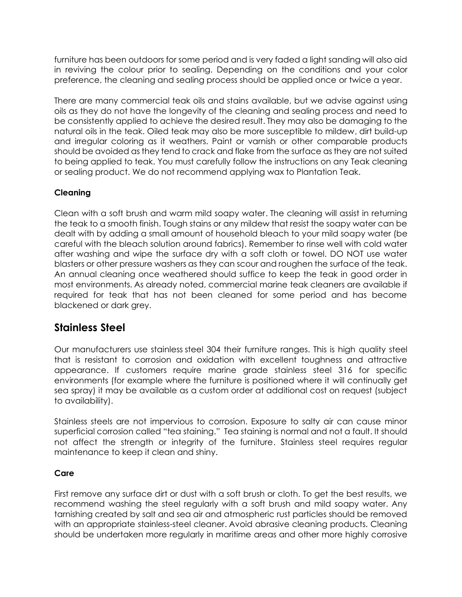furniture has been outdoors for some period and is very faded a light sanding will also aid in reviving the colour prior to sealing. Depending on the conditions and your color preference, the cleaning and sealing process should be applied once or twice a year.

There are many commercial teak oils and stains available, but we advise against using oils as they do not have the longevity of the cleaning and sealing process and need to be consistently applied to achieve the desired result. They may also be damaging to the natural oils in the teak. Oiled teak may also be more susceptible to mildew, dirt build-up and irregular coloring as it weathers. Paint or varnish or other comparable products should be avoided as they tend to crack and flake from the surface as they are not suited to being applied to teak. You must carefully follow the instructions on any Teak cleaning or sealing product. We do not recommend applying wax to Plantation Teak.

### **Cleaning**

Clean with a soft brush and warm mild soapy water. The cleaning will assist in returning the teak to a smooth finish. Tough stains or any mildew that resist the soapy water can be dealt with by adding a small amount of household bleach to your mild soapy water (be careful with the bleach solution around fabrics). Remember to rinse well with cold water after washing and wipe the surface dry with a soft cloth or towel. DO NOT use water blasters or other pressure washers as they can scour and roughen the surface of the teak. An annual cleaning once weathered should suffice to keep the teak in good order in most environments. As already noted, commercial marine teak cleaners are available if required for teak that has not been cleaned for some period and has become blackened or dark grey.

## **Stainless Steel**

Our manufacturers use stainless steel 304 their furniture ranges. This is high quality steel that is resistant to corrosion and oxidation with excellent toughness and attractive appearance. If customers require marine grade stainless steel 316 for specific environments (for example where the furniture is positioned where it will continually get sea spray) it may be available as a custom order at additional cost on request (subject to availability).

Stainless steels are not impervious to corrosion. Exposure to salty air can cause minor superficial corrosion called "tea staining." Tea staining is normal and not a fault. It should not affect the strength or integrity of the furniture. Stainless steel requires regular maintenance to keep it clean and shiny.

### **Care**

First remove any surface dirt or dust with a soft brush or cloth. To get the best results, we recommend washing the steel regularly with a soft brush and mild soapy water. Any tarnishing created by salt and sea air and atmospheric rust particles should be removed with an appropriate stainless-steel cleaner. Avoid abrasive cleaning products. Cleaning should be undertaken more regularly in maritime areas and other more highly corrosive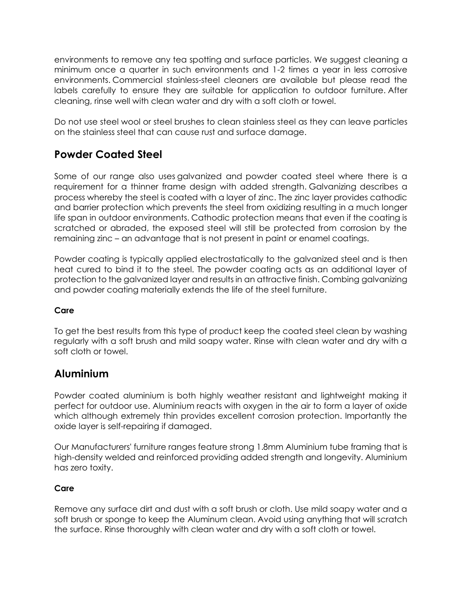environments to remove any tea spotting and surface particles. We suggest cleaning a minimum once a quarter in such environments and 1-2 times a year in less corrosive environments. Commercial stainless-steel cleaners are available but please read the labels carefully to ensure they are suitable for application to outdoor furniture. After cleaning, rinse well with clean water and dry with a soft cloth or towel.

Do not use steel wool or steel brushes to clean stainless steel as they can leave particles on the stainless steel that can cause rust and surface damage.

# **Powder Coated Steel**

Some of our range also uses galvanized and powder coated steel where there is a requirement for a thinner frame design with added strength. Galvanizing describes a process whereby the steel is coated with a layer of zinc. The zinc layer provides cathodic and barrier protection which prevents the steel from oxidizing resulting in a much longer life span in outdoor environments. Cathodic protection means that even if the coating is scratched or abraded, the exposed steel will still be protected from corrosion by the remaining zinc – an advantage that is not present in paint or enamel coatings.

Powder coating is typically applied electrostatically to the galvanized steel and is then heat cured to bind it to the steel. The powder coating acts as an additional layer of protection to the galvanized layer and results in an attractive finish. Combing galvanizing and powder coating materially extends the life of the steel furniture.

### **Care**

To get the best results from this type of product keep the coated steel clean by washing regularly with a soft brush and mild soapy water. Rinse with clean water and dry with a soft cloth or towel.

## **Aluminium**

Powder coated aluminium is both highly weather resistant and lightweight making it perfect for outdoor use. Aluminium reacts with oxygen in the air to form a layer of oxide which although extremely thin provides excellent corrosion protection. Importantly the oxide layer is self-repairing if damaged.

Our Manufacturers' furniture ranges feature strong 1.8mm Aluminium tube framing that is high-density welded and reinforced providing added strength and longevity. Aluminium has zero toxity.

### **Care**

Remove any surface dirt and dust with a soft brush or cloth. Use mild soapy water and a soft brush or sponge to keep the Aluminum clean. Avoid using anything that will scratch the surface. Rinse thoroughly with clean water and dry with a soft cloth or towel.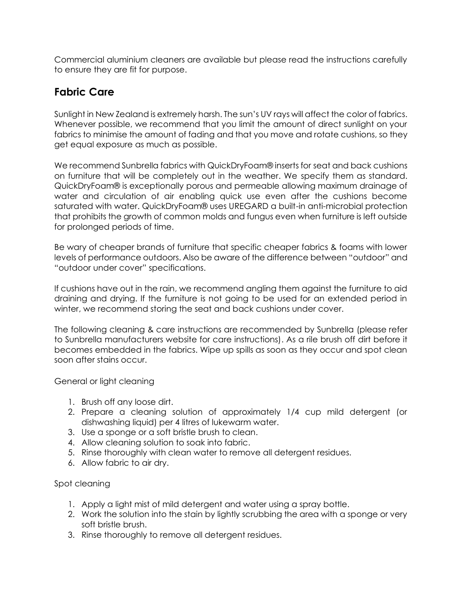Commercial aluminium cleaners are available but please read the instructions carefully to ensure they are fit for purpose.

# **Fabric Care**

Sunlight in New Zealand is extremely harsh. The sun's UV rays will affect the color of fabrics. Whenever possible, we recommend that you limit the amount of direct sunlight on your fabrics to minimise the amount of fading and that you move and rotate cushions, so they get equal exposure as much as possible.

We recommend Sunbrella fabrics with QuickDryFoam® inserts for seat and back cushions on furniture that will be completely out in the weather. We specify them as standard. QuickDryFoam® is exceptionally porous and permeable allowing maximum drainage of water and circulation of air enabling quick use even after the cushions become saturated with water. QuickDryFoam® uses UREGARD a built-in anti-microbial protection that prohibits the growth of common molds and fungus even when furniture is left outside for prolonged periods of time.

Be wary of cheaper brands of furniture that specific cheaper fabrics & foams with lower levels of performance outdoors. Also be aware of the difference between "outdoor" and "outdoor under cover" specifications.

If cushions have out in the rain, we recommend angling them against the furniture to aid draining and drying. If the furniture is not going to be used for an extended period in winter, we recommend storing the seat and back cushions under cover.

The following cleaning & care instructions are recommended by Sunbrella (please refer to Sunbrella manufacturers website for care instructions). As a rile brush off dirt before it becomes embedded in the fabrics. Wipe up spills as soon as they occur and spot clean soon after stains occur.

General or light cleaning

- 1. Brush off any loose dirt.
- 2. Prepare a cleaning solution of approximately 1/4 cup mild detergent (or dishwashing liquid) per 4 litres of lukewarm water.
- 3. Use a sponge or a soft bristle brush to clean.
- 4. Allow cleaning solution to soak into fabric.
- 5. Rinse thoroughly with clean water to remove all detergent residues.
- 6. Allow fabric to air dry.

Spot cleaning

- 1. Apply a light mist of mild detergent and water using a spray bottle.
- 2. Work the solution into the stain by lightly scrubbing the area with a sponge or very soft bristle brush.
- 3. Rinse thoroughly to remove all detergent residues.